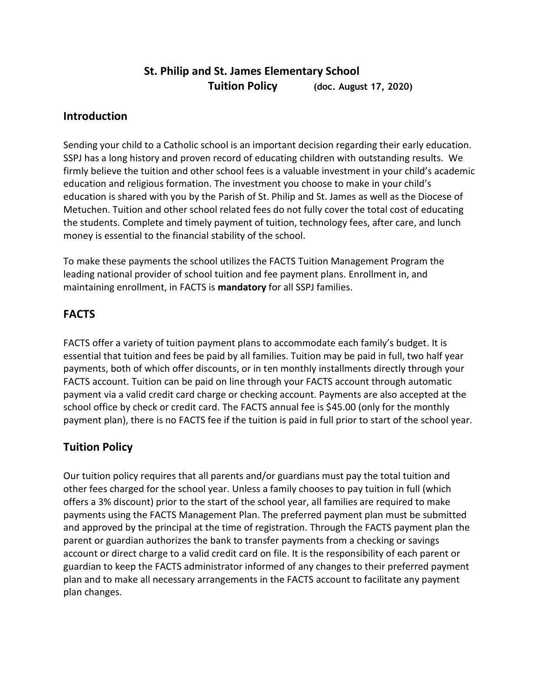# **St. Philip and St. James Elementary School Tuition Policy (doc. August 17, 2020)**

## **Introduction**

Sending your child to a Catholic school is an important decision regarding their early education. SSPJ has a long history and proven record of educating children with outstanding results. We firmly believe the tuition and other school fees is a valuable investment in your child's academic education and religious formation. The investment you choose to make in your child's education is shared with you by the Parish of St. Philip and St. James as well as the Diocese of Metuchen. Tuition and other school related fees do not fully cover the total cost of educating the students. Complete and timely payment of tuition, technology fees, after care, and lunch money is essential to the financial stability of the school.

To make these payments the school utilizes the FACTS Tuition Management Program the leading national provider of school tuition and fee payment plans. Enrollment in, and maintaining enrollment, in FACTS is **mandatory** for all SSPJ families.

# **FACTS**

FACTS offer a variety of tuition payment plans to accommodate each family's budget. It is essential that tuition and fees be paid by all families. Tuition may be paid in full, two half year payments, both of which offer discounts, or in ten monthly installments directly through your FACTS account. Tuition can be paid on line through your FACTS account through automatic payment via a valid credit card charge or checking account. Payments are also accepted at the school office by check or credit card. The FACTS annual fee is \$45.00 (only for the monthly payment plan), there is no FACTS fee if the tuition is paid in full prior to start of the school year.

# **Tuition Policy**

Our tuition policy requires that all parents and/or guardians must pay the total tuition and other fees charged for the school year. Unless a family chooses to pay tuition in full (which offers a 3% discount) prior to the start of the school year, all families are required to make payments using the FACTS Management Plan. The preferred payment plan must be submitted and approved by the principal at the time of registration. Through the FACTS payment plan the parent or guardian authorizes the bank to transfer payments from a checking or savings account or direct charge to a valid credit card on file. It is the responsibility of each parent or guardian to keep the FACTS administrator informed of any changes to their preferred payment plan and to make all necessary arrangements in the FACTS account to facilitate any payment plan changes.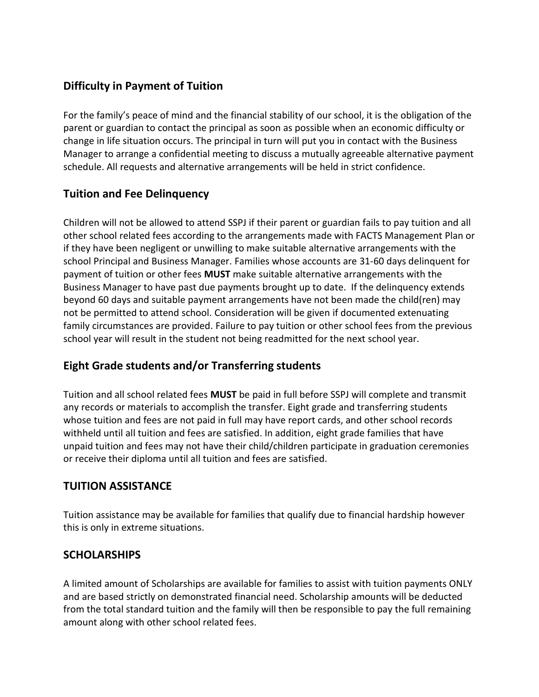# **Difficulty in Payment of Tuition**

For the family's peace of mind and the financial stability of our school, it is the obligation of the parent or guardian to contact the principal as soon as possible when an economic difficulty or change in life situation occurs. The principal in turn will put you in contact with the Business Manager to arrange a confidential meeting to discuss a mutually agreeable alternative payment schedule. All requests and alternative arrangements will be held in strict confidence.

### **Tuition and Fee Delinquency**

Children will not be allowed to attend SSPJ if their parent or guardian fails to pay tuition and all other school related fees according to the arrangements made with FACTS Management Plan or if they have been negligent or unwilling to make suitable alternative arrangements with the school Principal and Business Manager. Families whose accounts are 31-60 days delinquent for payment of tuition or other fees **MUST** make suitable alternative arrangements with the Business Manager to have past due payments brought up to date. If the delinquency extends beyond 60 days and suitable payment arrangements have not been made the child(ren) may not be permitted to attend school. Consideration will be given if documented extenuating family circumstances are provided. Failure to pay tuition or other school fees from the previous school year will result in the student not being readmitted for the next school year.

# **Eight Grade students and/or Transferring students**

Tuition and all school related fees **MUST** be paid in full before SSPJ will complete and transmit any records or materials to accomplish the transfer. Eight grade and transferring students whose tuition and fees are not paid in full may have report cards, and other school records withheld until all tuition and fees are satisfied. In addition, eight grade families that have unpaid tuition and fees may not have their child/children participate in graduation ceremonies or receive their diploma until all tuition and fees are satisfied.

#### **TUITION ASSISTANCE**

Tuition assistance may be available for families that qualify due to financial hardship however this is only in extreme situations.

#### **SCHOLARSHIPS**

A limited amount of Scholarships are available for families to assist with tuition payments ONLY and are based strictly on demonstrated financial need. Scholarship amounts will be deducted from the total standard tuition and the family will then be responsible to pay the full remaining amount along with other school related fees.